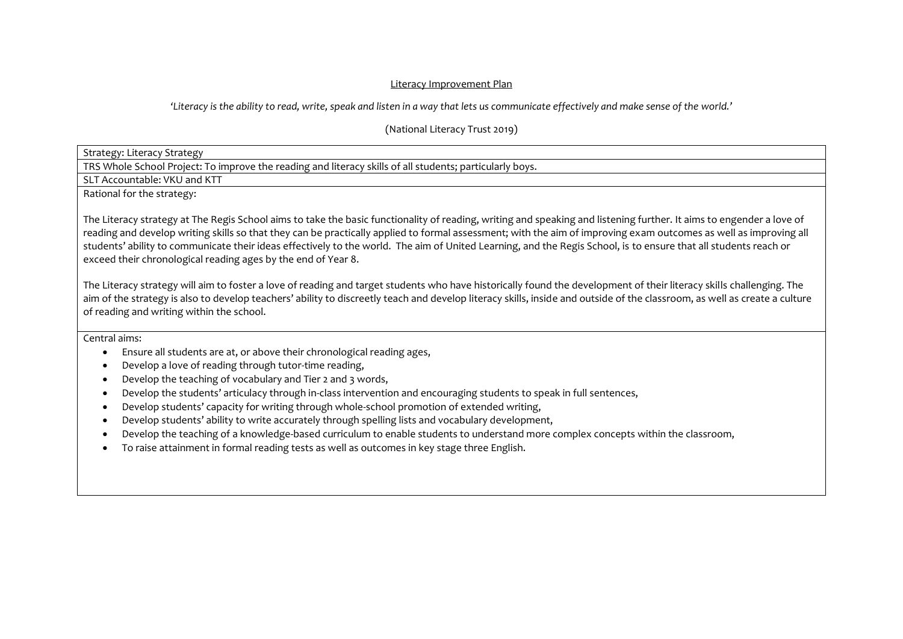## Literacy Improvement Plan

## *'Literacy is the ability to read, write, speak and listen in a way that lets us communicate effectively and make sense of the world.'*

(National Literacy Trust 2019)

Strategy: Literacy Strategy

TRS Whole School Project: To improve the reading and literacy skills of all students; particularly boys.

SLT Accountable: VKU and KTT

Rational for the strategy:

The Literacy strategy at The Regis School aims to take the basic functionality of reading, writing and speaking and listening further. It aims to engender a love of reading and develop writing skills so that they can be practically applied to formal assessment; with the aim of improving exam outcomes as well as improving all students' ability to communicate their ideas effectively to the world. The aim of United Learning, and the Regis School, is to ensure that all students reach or exceed their chronological reading ages by the end of Year 8.

The Literacy strategy will aim to foster a love of reading and target students who have historically found the development of their literacy skills challenging. The aim of the strategy is also to develop teachers' ability to discreetly teach and develop literacy skills, inside and outside of the classroom, as well as create a culture of reading and writing within the school.

Central aims:

- Ensure all students are at, or above their chronological reading ages,
- Develop a love of reading through tutor-time reading,
- Develop the teaching of vocabulary and Tier 2 and 3 words,
- Develop the students' articulacy through in-class intervention and encouraging students to speak in full sentences,
- Develop students' capacity for writing through whole-school promotion of extended writing,
- Develop students' ability to write accurately through spelling lists and vocabulary development,
- Develop the teaching of a knowledge-based curriculum to enable students to understand more complex concepts within the classroom,
- To raise attainment in formal reading tests as well as outcomes in key stage three English.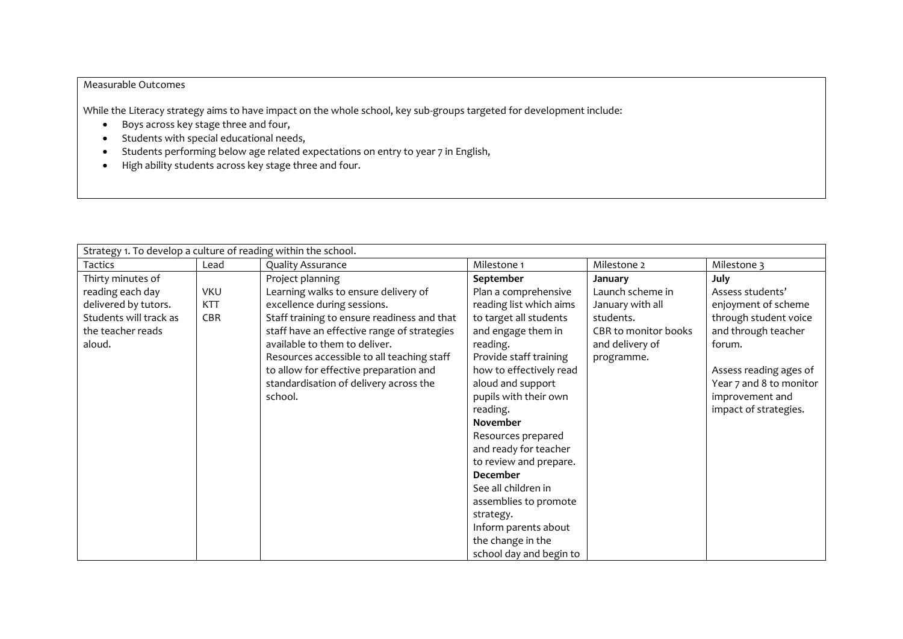## Measurable Outcomes

While the Literacy strategy aims to have impact on the whole school, key sub-groups targeted for development include:

- Boys across key stage three and four,
- Students with special educational needs,
- Students performing below age related expectations on entry to year 7 in English,
- High ability students across key stage three and four.

| Strategy 1. To develop a culture of reading within the school. |            |                                             |                         |                      |                         |  |
|----------------------------------------------------------------|------------|---------------------------------------------|-------------------------|----------------------|-------------------------|--|
| Tactics                                                        | Lead       | <b>Quality Assurance</b>                    | Milestone 1             | Milestone 2          | Milestone 3             |  |
| Thirty minutes of                                              |            | Project planning                            | September               | January              | <b>July</b>             |  |
| reading each day                                               | <b>VKU</b> | Learning walks to ensure delivery of        | Plan a comprehensive    | Launch scheme in     | Assess students'        |  |
| delivered by tutors.                                           | KTT        | excellence during sessions.                 | reading list which aims | January with all     | enjoyment of scheme     |  |
| Students will track as                                         | CBR        | Staff training to ensure readiness and that | to target all students  | students.            | through student voice   |  |
| the teacher reads                                              |            | staff have an effective range of strategies | and engage them in      | CBR to monitor books | and through teacher     |  |
| aloud.                                                         |            | available to them to deliver.               | reading.                | and delivery of      | forum.                  |  |
|                                                                |            | Resources accessible to all teaching staff  | Provide staff training  | programme.           |                         |  |
|                                                                |            | to allow for effective preparation and      | how to effectively read |                      | Assess reading ages of  |  |
|                                                                |            | standardisation of delivery across the      | aloud and support       |                      | Year 7 and 8 to monitor |  |
|                                                                |            | school.                                     | pupils with their own   |                      | improvement and         |  |
|                                                                |            |                                             | reading.                |                      | impact of strategies.   |  |
|                                                                |            |                                             | <b>November</b>         |                      |                         |  |
|                                                                |            |                                             | Resources prepared      |                      |                         |  |
|                                                                |            |                                             | and ready for teacher   |                      |                         |  |
|                                                                |            |                                             | to review and prepare.  |                      |                         |  |
|                                                                |            |                                             | December                |                      |                         |  |
|                                                                |            |                                             | See all children in     |                      |                         |  |
|                                                                |            |                                             | assemblies to promote   |                      |                         |  |
|                                                                |            |                                             | strategy.               |                      |                         |  |
|                                                                |            |                                             | Inform parents about    |                      |                         |  |
|                                                                |            |                                             | the change in the       |                      |                         |  |
|                                                                |            |                                             | school day and begin to |                      |                         |  |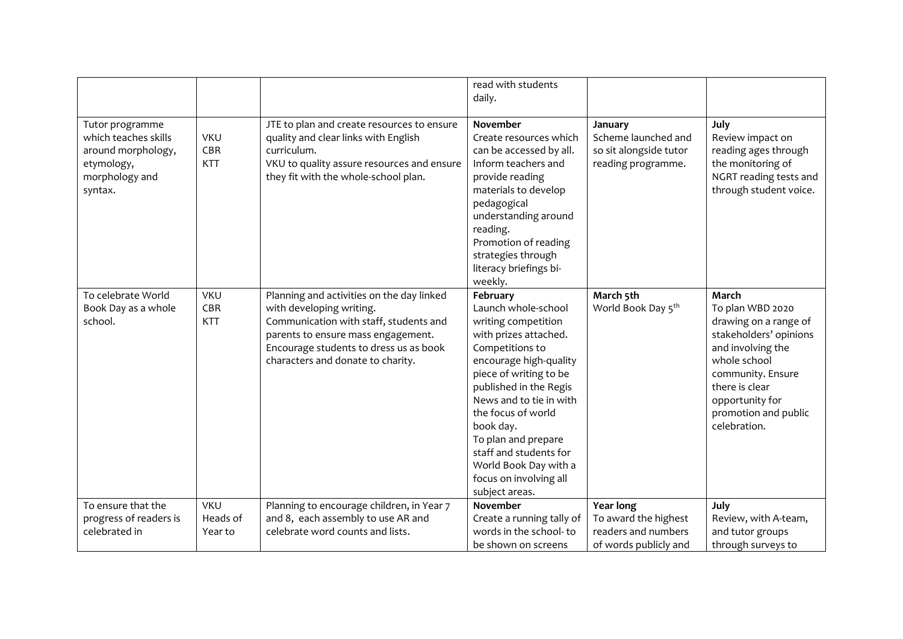|                                                                                                          |                                 |                                                                                                                                                                                                                                      | read with students<br>daily.                                                                                                                                                                                                                                                                                                                                         |                                                                                |                                                                                                                                                                                                                     |
|----------------------------------------------------------------------------------------------------------|---------------------------------|--------------------------------------------------------------------------------------------------------------------------------------------------------------------------------------------------------------------------------------|----------------------------------------------------------------------------------------------------------------------------------------------------------------------------------------------------------------------------------------------------------------------------------------------------------------------------------------------------------------------|--------------------------------------------------------------------------------|---------------------------------------------------------------------------------------------------------------------------------------------------------------------------------------------------------------------|
| Tutor programme<br>which teaches skills<br>around morphology,<br>etymology,<br>morphology and<br>syntax. | <b>VKU</b><br>CBR<br><b>KTT</b> | JTE to plan and create resources to ensure<br>quality and clear links with English<br>curriculum.<br>VKU to quality assure resources and ensure<br>they fit with the whole-school plan.                                              | November<br>Create resources which<br>can be accessed by all.<br>Inform teachers and<br>provide reading<br>materials to develop<br>pedagogical<br>understanding around<br>reading.<br>Promotion of reading<br>strategies through<br>literacy briefings bi-<br>weekly.                                                                                                | January<br>Scheme launched and<br>so sit alongside tutor<br>reading programme. | July<br>Review impact on<br>reading ages through<br>the monitoring of<br>NGRT reading tests and<br>through student voice.                                                                                           |
| To celebrate World<br>Book Day as a whole<br>school.                                                     | <b>VKU</b><br>CBR<br><b>KTT</b> | Planning and activities on the day linked<br>with developing writing.<br>Communication with staff, students and<br>parents to ensure mass engagement.<br>Encourage students to dress us as book<br>characters and donate to charity. | February<br>Launch whole-school<br>writing competition<br>with prizes attached.<br>Competitions to<br>encourage high-quality<br>piece of writing to be<br>published in the Regis<br>News and to tie in with<br>the focus of world<br>book day.<br>To plan and prepare<br>staff and students for<br>World Book Day with a<br>focus on involving all<br>subject areas. | March 5th<br>World Book Day 5 <sup>th</sup>                                    | March<br>To plan WBD 2020<br>drawing on a range of<br>stakeholders' opinions<br>and involving the<br>whole school<br>community. Ensure<br>there is clear<br>opportunity for<br>promotion and public<br>celebration. |
| To ensure that the<br>progress of readers is                                                             | <b>VKU</b><br>Heads of          | Planning to encourage children, in Year 7<br>and 8, each assembly to use AR and                                                                                                                                                      | November<br>Create a running tally of                                                                                                                                                                                                                                                                                                                                | <b>Year long</b><br>To award the highest                                       | July<br>Review, with A-team,                                                                                                                                                                                        |
| celebrated in                                                                                            | Year to                         | celebrate word counts and lists.                                                                                                                                                                                                     | words in the school-to                                                                                                                                                                                                                                                                                                                                               | readers and numbers                                                            | and tutor groups                                                                                                                                                                                                    |
|                                                                                                          |                                 |                                                                                                                                                                                                                                      | be shown on screens                                                                                                                                                                                                                                                                                                                                                  | of words publicly and                                                          | through surveys to                                                                                                                                                                                                  |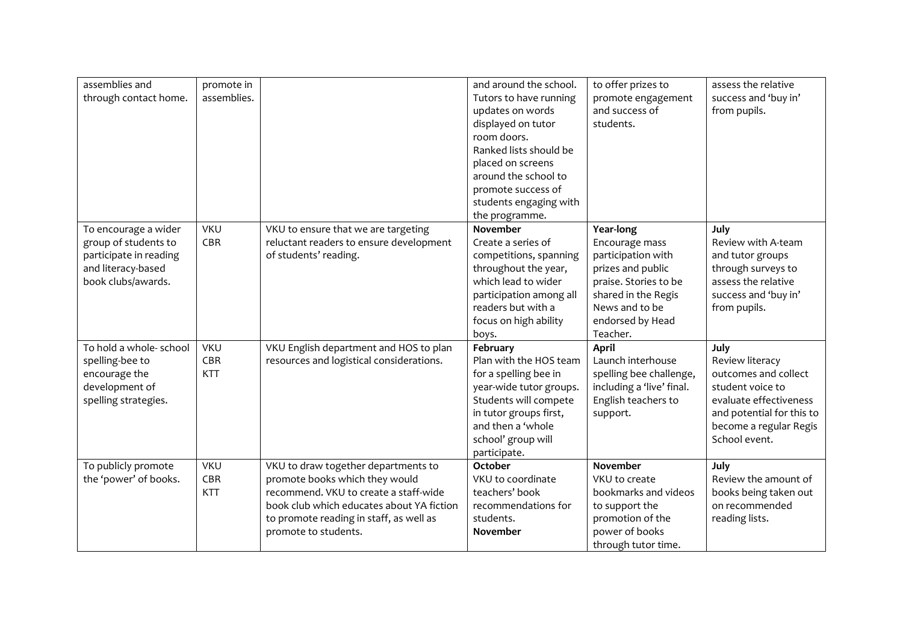| assemblies and<br>through contact home. | promote in<br>assemblies. |                                           | and around the school.<br>Tutors to have running | to offer prizes to<br>promote engagement | assess the relative<br>success and 'buy in' |
|-----------------------------------------|---------------------------|-------------------------------------------|--------------------------------------------------|------------------------------------------|---------------------------------------------|
|                                         |                           |                                           | updates on words                                 | and success of                           | from pupils.                                |
|                                         |                           |                                           | displayed on tutor                               | students.                                |                                             |
|                                         |                           |                                           | room doors.                                      |                                          |                                             |
|                                         |                           |                                           | Ranked lists should be                           |                                          |                                             |
|                                         |                           |                                           | placed on screens                                |                                          |                                             |
|                                         |                           |                                           | around the school to                             |                                          |                                             |
|                                         |                           |                                           | promote success of                               |                                          |                                             |
|                                         |                           |                                           | students engaging with                           |                                          |                                             |
|                                         |                           |                                           | the programme.                                   |                                          |                                             |
| To encourage a wider                    | <b>VKU</b>                | VKU to ensure that we are targeting       | November                                         | Year-long                                | July                                        |
| group of students to                    | CBR                       | reluctant readers to ensure development   | Create a series of                               | Encourage mass                           | Review with A-team                          |
| participate in reading                  |                           | of students' reading.                     | competitions, spanning                           | participation with                       | and tutor groups                            |
| and literacy-based                      |                           |                                           | throughout the year,                             | prizes and public                        | through surveys to                          |
| book clubs/awards.                      |                           |                                           | which lead to wider                              | praise. Stories to be                    | assess the relative                         |
|                                         |                           |                                           | participation among all                          | shared in the Regis                      | success and 'buy in'                        |
|                                         |                           |                                           | readers but with a                               | News and to be                           | from pupils.                                |
|                                         |                           |                                           | focus on high ability                            | endorsed by Head                         |                                             |
|                                         |                           |                                           | boys.                                            | Teacher.                                 |                                             |
| To hold a whole- school                 | <b>VKU</b>                | VKU English department and HOS to plan    | February                                         | <b>April</b>                             | July                                        |
| spelling-bee to                         | CBR                       | resources and logistical considerations.  | Plan with the HOS team                           | Launch interhouse                        | Review literacy                             |
| encourage the                           | <b>KTT</b>                |                                           | for a spelling bee in                            | spelling bee challenge,                  | outcomes and collect                        |
| development of                          |                           |                                           | year-wide tutor groups.                          | including a 'live' final.                | student voice to                            |
| spelling strategies.                    |                           |                                           | Students will compete                            | English teachers to                      | evaluate effectiveness                      |
|                                         |                           |                                           | in tutor groups first,                           | support.                                 | and potential for this to                   |
|                                         |                           |                                           | and then a 'whole                                |                                          | become a regular Regis                      |
|                                         |                           |                                           | school' group will                               |                                          | School event.                               |
|                                         |                           |                                           | participate.                                     |                                          |                                             |
| To publicly promote                     | <b>VKU</b>                | VKU to draw together departments to       | October                                          | <b>November</b>                          | July                                        |
| the 'power' of books.                   | CBR                       | promote books which they would            | VKU to coordinate                                | VKU to create                            | Review the amount of                        |
|                                         | <b>KTT</b>                | recommend. VKU to create a staff-wide     | teachers' book                                   | bookmarks and videos                     | books being taken out                       |
|                                         |                           | book club which educates about YA fiction | recommendations for                              | to support the                           | on recommended                              |
|                                         |                           | to promote reading in staff, as well as   | students.                                        | promotion of the                         | reading lists.                              |
|                                         |                           | promote to students.                      | November                                         | power of books                           |                                             |
|                                         |                           |                                           |                                                  | through tutor time.                      |                                             |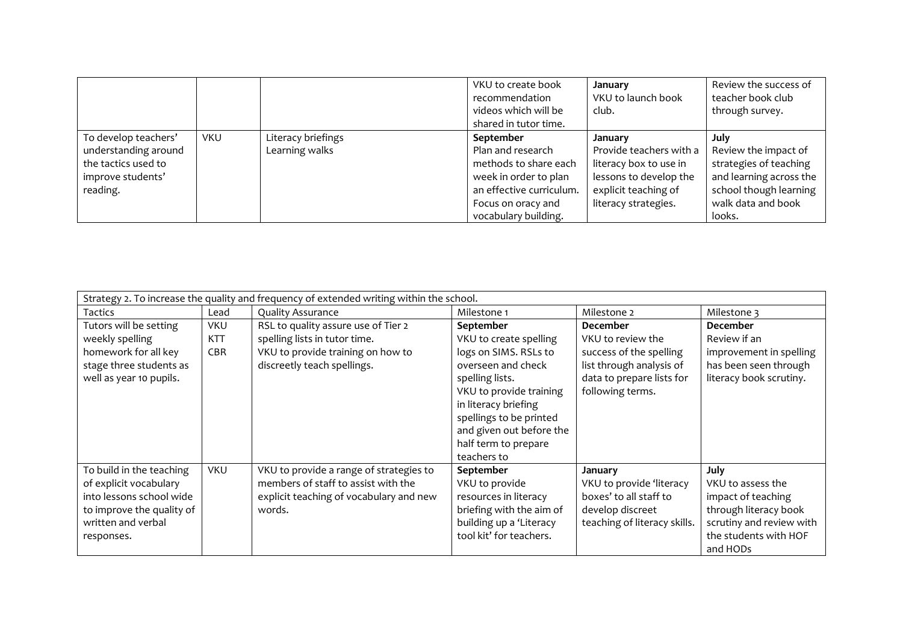|                                                                                                      |            |                                      | VKU to create book<br>recommendation<br>videos which will be<br>shared in tutor time.                                                                      | January<br>VKU to launch book<br>club.                                                                                                 | Review the success of<br>teacher book club<br>through survey.                                                                               |
|------------------------------------------------------------------------------------------------------|------------|--------------------------------------|------------------------------------------------------------------------------------------------------------------------------------------------------------|----------------------------------------------------------------------------------------------------------------------------------------|---------------------------------------------------------------------------------------------------------------------------------------------|
| To develop teachers'<br>understanding around<br>the tactics used to<br>improve students'<br>reading. | <b>VKU</b> | Literacy briefings<br>Learning walks | September<br>Plan and research<br>methods to share each<br>week in order to plan<br>an effective curriculum.<br>Focus on oracy and<br>vocabulary building. | January<br>Provide teachers with a<br>literacy box to use in<br>lessons to develop the<br>explicit teaching of<br>literacy strategies. | July<br>Review the impact of<br>strategies of teaching<br>and learning across the<br>school though learning<br>walk data and book<br>looks. |

| Strategy 2. To increase the quality and frequency of extended writing within the school. |            |                                         |                          |                              |                          |  |
|------------------------------------------------------------------------------------------|------------|-----------------------------------------|--------------------------|------------------------------|--------------------------|--|
| Tactics                                                                                  | Lead       | <b>Quality Assurance</b>                | Milestone 1              | Milestone 2                  | Milestone 3              |  |
| Tutors will be setting                                                                   | <b>VKU</b> | RSL to quality assure use of Tier 2     | September                | <b>December</b>              | <b>December</b>          |  |
| weekly spelling                                                                          | <b>KTT</b> | spelling lists in tutor time.           | VKU to create spelling   | VKU to review the            | Review if an             |  |
| homework for all key                                                                     | <b>CBR</b> | VKU to provide training on how to       | logs on SIMS. RSLs to    | success of the spelling      | improvement in spelling  |  |
| stage three students as                                                                  |            | discreetly teach spellings.             | overseen and check       | list through analysis of     | has been seen through    |  |
| well as year 10 pupils.                                                                  |            |                                         | spelling lists.          | data to prepare lists for    | literacy book scrutiny.  |  |
|                                                                                          |            |                                         | VKU to provide training  | following terms.             |                          |  |
|                                                                                          |            |                                         | in literacy briefing     |                              |                          |  |
|                                                                                          |            |                                         | spellings to be printed  |                              |                          |  |
|                                                                                          |            |                                         | and given out before the |                              |                          |  |
|                                                                                          |            |                                         | half term to prepare     |                              |                          |  |
|                                                                                          |            |                                         | teachers to              |                              |                          |  |
| To build in the teaching                                                                 | <b>VKU</b> | VKU to provide a range of strategies to | September                | January                      | July                     |  |
| of explicit vocabulary                                                                   |            | members of staff to assist with the     | VKU to provide           | VKU to provide 'literacy     | VKU to assess the        |  |
| into lessons school wide                                                                 |            | explicit teaching of vocabulary and new | resources in literacy    | boxes' to all staff to       | impact of teaching       |  |
| to improve the quality of                                                                |            | words.                                  | briefing with the aim of | develop discreet             | through literacy book    |  |
| written and verbal                                                                       |            |                                         | building up a 'Literacy  | teaching of literacy skills. | scrutiny and review with |  |
| responses.                                                                               |            |                                         | tool kit' for teachers.  |                              | the students with HOF    |  |
|                                                                                          |            |                                         |                          |                              | and HODs                 |  |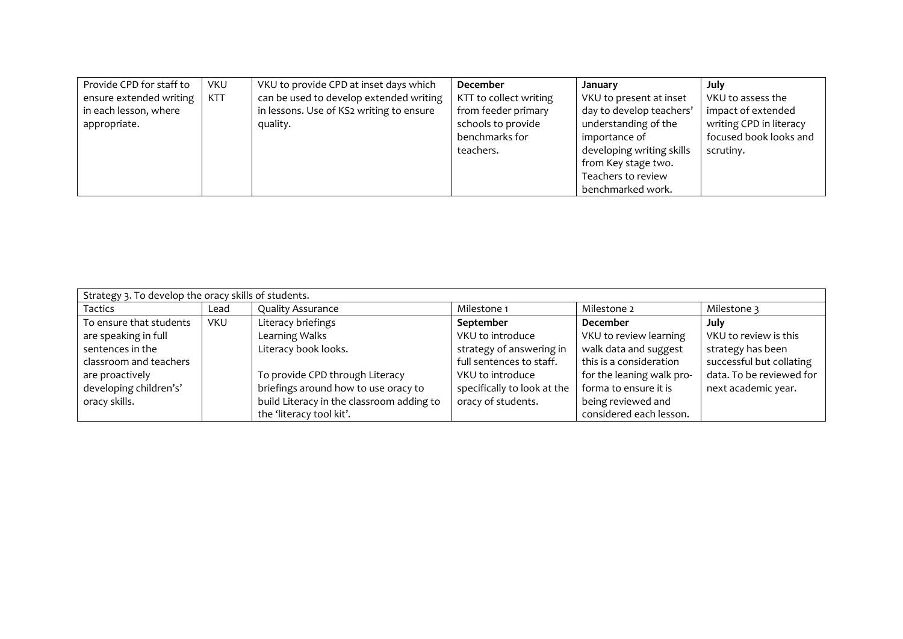| Provide CPD for staff to | <b>VKU</b> | VKU to provide CPD at inset days which   | December               | January                   | July                    |
|--------------------------|------------|------------------------------------------|------------------------|---------------------------|-------------------------|
| ensure extended writing  | <b>KTT</b> | can be used to develop extended writing  | KTT to collect writing | VKU to present at inset   | VKU to assess the       |
| in each lesson, where    |            | in lessons. Use of KS2 writing to ensure | from feeder primary    | day to develop teachers'  | impact of extended      |
| appropriate.             |            | quality.                                 | schools to provide     | understanding of the      | writing CPD in literacy |
|                          |            |                                          | benchmarks for         | importance of             | focused book looks and  |
|                          |            |                                          | teachers.              | developing writing skills | scrutiny.               |
|                          |            |                                          |                        | from Key stage two.       |                         |
|                          |            |                                          |                        | Teachers to review        |                         |
|                          |            |                                          |                        | benchmarked work.         |                         |

| Strategy 3. To develop the oracy skills of students. |            |                                           |                             |                           |                          |  |  |
|------------------------------------------------------|------------|-------------------------------------------|-----------------------------|---------------------------|--------------------------|--|--|
| <b>Tactics</b>                                       | Lead       | <b>Quality Assurance</b>                  | Milestone 1                 | Milestone 2               | Milestone 3              |  |  |
| To ensure that students                              | <b>VKU</b> | Literacy briefings                        | September                   | <b>December</b>           | July                     |  |  |
| are speaking in full                                 |            | Learning Walks                            | VKU to introduce            | VKU to review learning    | VKU to review is this    |  |  |
| sentences in the                                     |            | Literacy book looks.                      | strategy of answering in    | walk data and suggest     | strategy has been        |  |  |
| classroom and teachers                               |            |                                           | full sentences to staff.    | this is a consideration   | successful but collating |  |  |
| are proactively                                      |            | To provide CPD through Literacy           | VKU to introduce            | for the leaning walk pro- | data. To be reviewed for |  |  |
| developing children's'                               |            | briefings around how to use oracy to      | specifically to look at the | forma to ensure it is     | next academic year.      |  |  |
| oracy skills.                                        |            | build Literacy in the classroom adding to | oracy of students.          | being reviewed and        |                          |  |  |
|                                                      |            | the 'literacy tool kit'.                  |                             | considered each lesson.   |                          |  |  |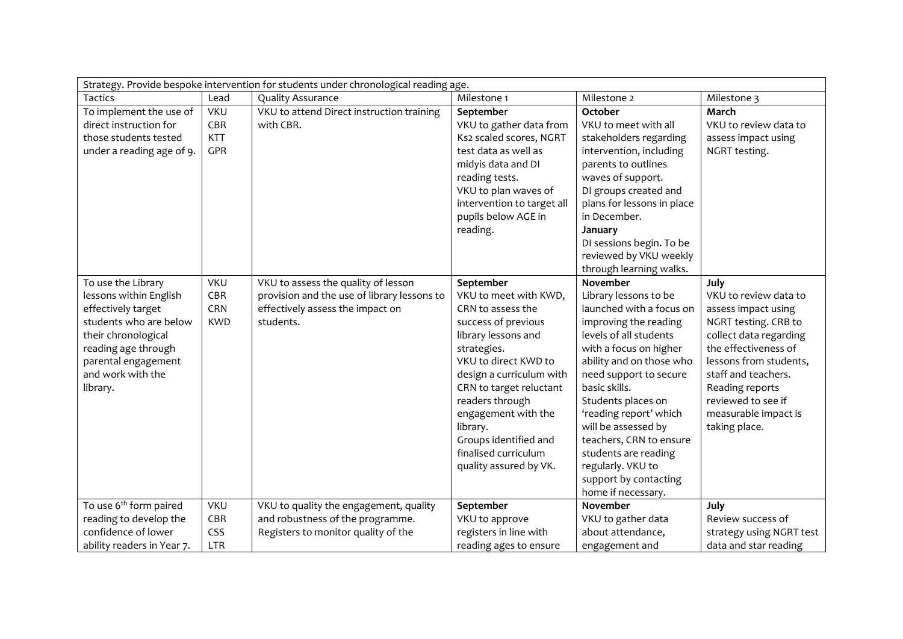| Strategy. Provide bespoke intervention for students under chronological reading age. |            |                                             |                            |                            |                          |  |
|--------------------------------------------------------------------------------------|------------|---------------------------------------------|----------------------------|----------------------------|--------------------------|--|
| Tactics                                                                              | Lead       | <b>Quality Assurance</b>                    | Milestone 1                | Milestone 2                | Milestone 3              |  |
| To implement the use of                                                              | <b>VKU</b> | VKU to attend Direct instruction training   | September                  | October                    | March                    |  |
| direct instruction for                                                               | CBR        | with CBR.                                   | VKU to gather data from    | VKU to meet with all       | VKU to review data to    |  |
| those students tested                                                                | <b>KTT</b> |                                             | Ks2 scaled scores, NGRT    | stakeholders regarding     | assess impact using      |  |
| under a reading age of 9.                                                            | GPR        |                                             | test data as well as       | intervention, including    | NGRT testing.            |  |
|                                                                                      |            |                                             | midyis data and DI         | parents to outlines        |                          |  |
|                                                                                      |            |                                             | reading tests.             | waves of support.          |                          |  |
|                                                                                      |            |                                             | VKU to plan waves of       | DI groups created and      |                          |  |
|                                                                                      |            |                                             | intervention to target all | plans for lessons in place |                          |  |
|                                                                                      |            |                                             | pupils below AGE in        | in December.               |                          |  |
|                                                                                      |            |                                             | reading.                   | January                    |                          |  |
|                                                                                      |            |                                             |                            | DI sessions begin. To be   |                          |  |
|                                                                                      |            |                                             |                            | reviewed by VKU weekly     |                          |  |
|                                                                                      |            |                                             |                            | through learning walks.    |                          |  |
| To use the Library                                                                   | <b>VKU</b> | VKU to assess the quality of lesson         | September                  | November                   | July                     |  |
| lessons within English                                                               | CBR        | provision and the use of library lessons to | VKU to meet with KWD,      | Library lessons to be      | VKU to review data to    |  |
| effectively target                                                                   | CRN        | effectively assess the impact on            | CRN to assess the          | launched with a focus on   | assess impact using      |  |
| students who are below                                                               | <b>KWD</b> | students.                                   | success of previous        | improving the reading      | NGRT testing. CRB to     |  |
| their chronological                                                                  |            |                                             | library lessons and        | levels of all students     | collect data regarding   |  |
| reading age through                                                                  |            |                                             | strategies.                | with a focus on higher     | the effectiveness of     |  |
| parental engagement                                                                  |            |                                             | VKU to direct KWD to       | ability and on those who   | lessons from students,   |  |
| and work with the                                                                    |            |                                             | design a curriculum with   | need support to secure     | staff and teachers.      |  |
| library.                                                                             |            |                                             | CRN to target reluctant    | basic skills.              | Reading reports          |  |
|                                                                                      |            |                                             | readers through            | Students places on         | reviewed to see if       |  |
|                                                                                      |            |                                             | engagement with the        | 'reading report' which     | measurable impact is     |  |
|                                                                                      |            |                                             | library.                   | will be assessed by        | taking place.            |  |
|                                                                                      |            |                                             | Groups identified and      | teachers, CRN to ensure    |                          |  |
|                                                                                      |            |                                             | finalised curriculum       | students are reading       |                          |  |
|                                                                                      |            |                                             | quality assured by VK.     | regularly. VKU to          |                          |  |
|                                                                                      |            |                                             |                            | support by contacting      |                          |  |
|                                                                                      |            |                                             |                            | home if necessary.         |                          |  |
| To use 6 <sup>th</sup> form paired                                                   | <b>VKU</b> | VKU to quality the engagement, quality      | September                  | November                   | July                     |  |
| reading to develop the                                                               | CBR        | and robustness of the programme.            | VKU to approve             | VKU to gather data         | Review success of        |  |
| confidence of lower                                                                  | CSS        | Registers to monitor quality of the         | registers in line with     | about attendance,          | strategy using NGRT test |  |
| ability readers in Year 7.                                                           | <b>LTR</b> |                                             | reading ages to ensure     | engagement and             | data and star reading    |  |